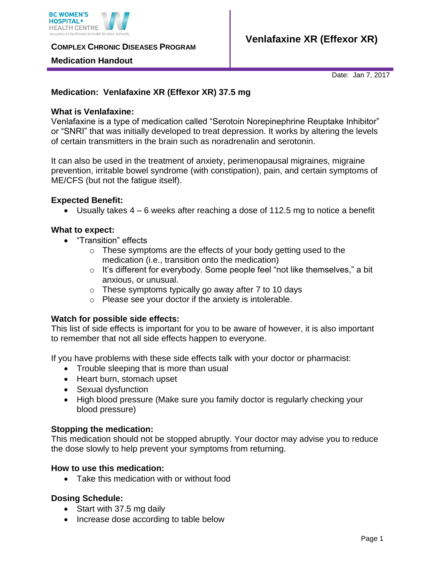

**COMPLEX CHRONIC DISEASES PROGRAM** 

#### **Medication Handout**

Date: Jan 7, 2017

# **Medication: Venlafaxine XR (Effexor XR) 37.5 mg**

# **What is Venlafaxine:**

Venlafaxine is a type of medication called "Serotoin Norepinephrine Reuptake Inhibitor" or "SNRI" that was initially developed to treat depression. It works by altering the levels of certain transmitters in the brain such as noradrenalin and serotonin.

It can also be used in the treatment of anxiety, perimenopausal migraines, migraine prevention, irritable bowel syndrome (with constipation), pain, and certain symptoms of ME/CFS (but not the fatigue itself).

#### **Expected Benefit:**

• Usually takes  $4 - 6$  weeks after reaching a dose of 112.5 mg to notice a benefit

#### **What to expect:**

- "Transition" effects
	- $\circ$  These symptoms are the effects of your body getting used to the medication (i.e., transition onto the medication)
	- $\circ$  It's different for everybody. Some people feel "not like themselves," a bit anxious, or unusual.
	- $\circ$  These symptoms typically go away after 7 to 10 days
	- o Please see your doctor if the anxiety is intolerable.

# **Watch for possible side effects:**

This list of side effects is important for you to be aware of however, it is also important to remember that not all side effects happen to everyone.

If you have problems with these side effects talk with your doctor or pharmacist:

- Trouble sleeping that is more than usual
- Heart burn, stomach upset
- Sexual dysfunction
- High blood pressure (Make sure you family doctor is regularly checking your blood pressure)

# **Stopping the medication:**

This medication should not be stopped abruptly. Your doctor may advise you to reduce the dose slowly to help prevent your symptoms from returning.

# **How to use this medication:**

Take this medication with or without food

# **Dosing Schedule:**

- Start with 37.5 mg daily
- Increase dose according to table below